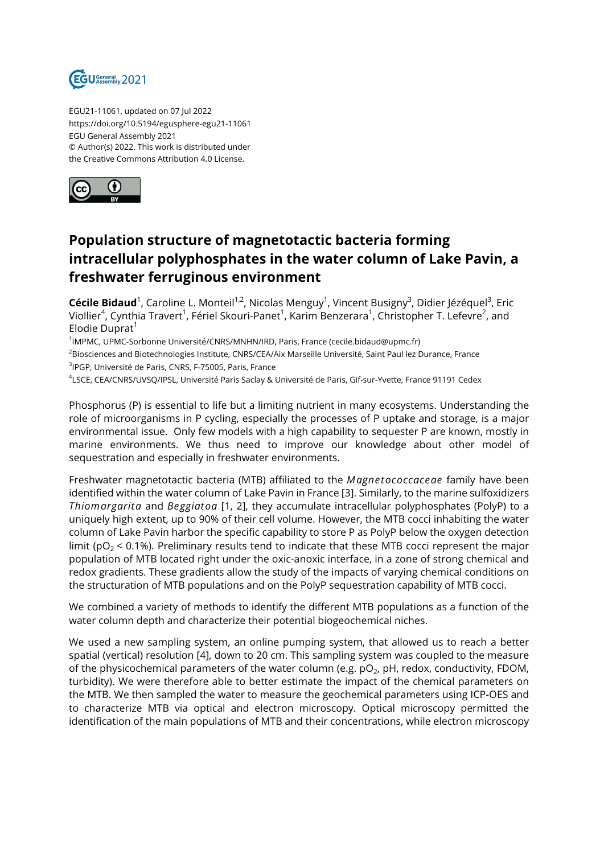

EGU21-11061, updated on 07 Jul 2022 https://doi.org/10.5194/egusphere-egu21-11061 EGU General Assembly 2021 © Author(s) 2022. This work is distributed under the Creative Commons Attribution 4.0 License.



## **Population structure of magnetotactic bacteria forming intracellular polyphosphates in the water column of Lake Pavin, a freshwater ferruginous environment**

**Cécile Bidaud**<sup>1</sup>, Caroline L. Monteil<sup>1,2</sup>, Nicolas Menguy<sup>1</sup>, Vincent Busigny<sup>3</sup>, Didier Jézéquel<sup>3</sup>, Eric Viollier<sup>4</sup>, Cynthia Travert<sup>1</sup>, Fériel Skouri-Panet<sup>1</sup>, Karim Benzerara<sup>1</sup>, Christopher T. Lefevre<sup>2</sup>, and Elodie Duprat $<sup>1</sup>$ </sup>

<sup>1</sup>IMPMC, UPMC-Sorbonne Université/CNRS/MNHN/IRD, Paris, France (cecile.bidaud@upmc.fr)

<sup>2</sup>Biosciences and Biotechnologies Institute, CNRS/CEA/Aix Marseille Université, Saint Paul lez Durance, France 3 IPGP, Université de Paris, CNRS, F-75005, Paris, France

4 LSCE, CEA/CNRS/UVSQ/IPSL, Université Paris Saclay & Université de Paris, Gif-sur-Yvette, France 91191 Cedex

Phosphorus (P) is essential to life but a limiting nutrient in many ecosystems. Understanding the role of microorganisms in P cycling, especially the processes of P uptake and storage, is a major environmental issue. Only few models with a high capability to sequester P are known, mostly in marine environments. We thus need to improve our knowledge about other model of sequestration and especially in freshwater environments.

Freshwater magnetotactic bacteria (MTB) affiliated to the *Magnetococcaceae* family have been identified within the water column of Lake Pavin in France [3]. Similarly, to the marine sulfoxidizers *Thiomargarita* and *Beggiatoa* [1, 2], they accumulate intracellular polyphosphates (PolyP) to a uniquely high extent, up to 90% of their cell volume. However, the MTB cocci inhabiting the water column of Lake Pavin harbor the specific capability to store P as PolyP below the oxygen detection limit ( $pO<sub>2</sub> < 0.1$ %). Preliminary results tend to indicate that these MTB cocci represent the major population of MTB located right under the oxic-anoxic interface, in a zone of strong chemical and redox gradients. These gradients allow the study of the impacts of varying chemical conditions on the structuration of MTB populations and on the PolyP sequestration capability of MTB cocci.

We combined a variety of methods to identify the different MTB populations as a function of the water column depth and characterize their potential biogeochemical niches.

We used a new sampling system, an online pumping system, that allowed us to reach a better spatial (vertical) resolution [4], down to 20 cm. This sampling system was coupled to the measure of the physicochemical parameters of the water column (e.g. pO $_2$ , pH, redox, conductivity, FDOM, turbidity). We were therefore able to better estimate the impact of the chemical parameters on the MTB. We then sampled the water to measure the geochemical parameters using ICP-OES and to characterize MTB via optical and electron microscopy. Optical microscopy permitted the identification of the main populations of MTB and their concentrations, while electron microscopy